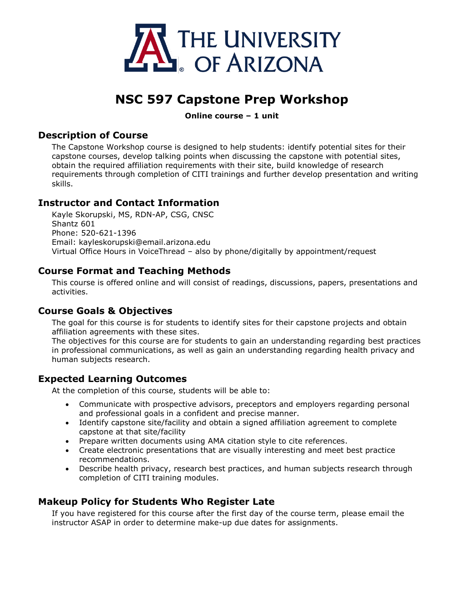

# **NSC 597 Capstone Prep Workshop**

#### **Online course – 1 unit**

#### **Description of Course**

The Capstone Workshop course is designed to help students: identify potential sites for their capstone courses, develop talking points when discussing the capstone with potential sites, obtain the required affiliation requirements with their site, build knowledge of research requirements through completion of CITI trainings and further develop presentation and writing skills.

## **Instructor and Contact Information**

Kayle Skorupski, MS, RDN-AP, CSG, CNSC Shantz 601 Phone: 520-621-1396 Email: kayleskorupski@email.arizona.edu Virtual Office Hours in VoiceThread – also by phone/digitally by appointment/request

## **Course Format and Teaching Methods**

This course is offered online and will consist of readings, discussions, papers, presentations and activities.

#### **Course Goals & Objectives**

The goal for this course is for students to identify sites for their capstone projects and obtain affiliation agreements with these sites.

The objectives for this course are for students to gain an understanding regarding best practices in professional communications, as well as gain an understanding regarding health privacy and human subjects research.

#### **Expected Learning Outcomes**

At the completion of this course, students will be able to:

- Communicate with prospective advisors, preceptors and employers regarding personal and professional goals in a confident and precise manner.
- Identify capstone site/facility and obtain a signed affiliation agreement to complete capstone at that site/facility
- Prepare written documents using AMA citation style to cite references.
- Create electronic presentations that are visually interesting and meet best practice recommendations.
- Describe health privacy, research best practices, and human subjects research through completion of CITI training modules.

#### **Makeup Policy for Students Who Register Late**

If you have registered for this course after the first day of the course term, please email the instructor ASAP in order to determine make-up due dates for assignments.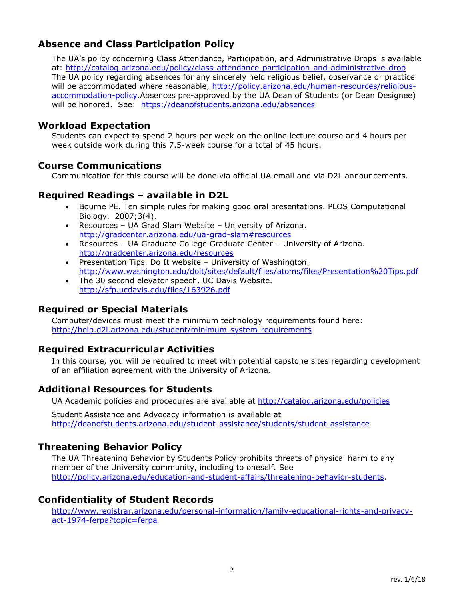# **Absence and Class Participation Policy**

The UA's policy concerning Class Attendance, Participation, and Administrative Drops is available at:<http://catalog.arizona.edu/policy/class-attendance-participation-and-administrative-drop> The UA policy regarding absences for any sincerely held religious belief, observance or practice will be accommodated where reasonable, [http://policy.arizona.edu/human-resources/religious](http://policy.arizona.edu/human-resources/religious-accommodation-policy)[accommodation-policy.](http://policy.arizona.edu/human-resources/religious-accommodation-policy)Absences pre-approved by the UA Dean of Students (or Dean Designee) will be honored. See: <https://deanofstudents.arizona.edu/absences>

#### **Workload Expectation**

Students can expect to spend 2 hours per week on the online lecture course and 4 hours per week outside work during this 7.5-week course for a total of 45 hours.

#### **Course Communications**

Communication for this course will be done via official UA email and via D2L announcements.

## **Required Readings – available in D2L**

- Bourne PE. Ten simple rules for making good oral presentations. PLOS Computational Biology. 2007;3(4).
- Resources UA Grad Slam Website University of Arizona. <http://gradcenter.arizona.edu/ua-grad-slam#resources>
- Resources UA Graduate College Graduate Center University of Arizona. <http://gradcenter.arizona.edu/resources>
- Presentation Tips. Do It website University of Washington. <http://www.washington.edu/doit/sites/default/files/atoms/files/Presentation%20Tips.pdf>
- The 30 second elevator speech. UC Davis Website. <http://sfp.ucdavis.edu/files/163926.pdf>

# **Required or Special Materials**

Computer/devices must meet the minimum technology requirements found here: <http://help.d2l.arizona.edu/student/minimum-system-requirements>

#### **Required Extracurricular Activities**

In this course, you will be required to meet with potential capstone sites regarding development of an affiliation agreement with the University of Arizona.

#### **Additional Resources for Students**

UA Academic policies and procedures are available at<http://catalog.arizona.edu/policies>

Student Assistance and Advocacy information is available at <http://deanofstudents.arizona.edu/student-assistance/students/student-assistance>

# **Threatening Behavior Policy**

The UA Threatening Behavior by Students Policy prohibits threats of physical harm to any member of the University community, including to oneself. See [http://policy.arizona.edu/education-and-student-affairs/threatening-behavior-students.](http://policy.arizona.edu/education-and-student-affairs/threatening-behavior-students)

# **Confidentiality of Student Records**

[http://www.registrar.arizona.edu/personal-information/family-educational-rights-and-privacy](http://www.registrar.arizona.edu/personal-information/family-educational-rights-and-privacy-act-1974-ferpa?topic=ferpa)[act-1974-ferpa?topic=ferpa](http://www.registrar.arizona.edu/personal-information/family-educational-rights-and-privacy-act-1974-ferpa?topic=ferpa)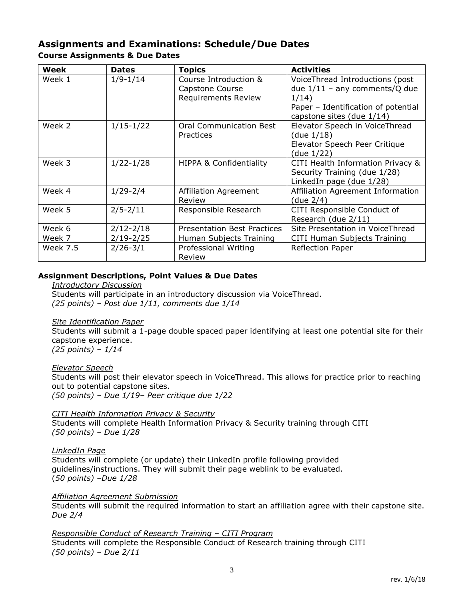#### **Assignments and Examinations: Schedule/Due Dates Course Assignments & Due Dates**

| Week     | <b>Dates</b>  | <b>Topics</b>                                                          | <b>Activities</b>                                                                                                                               |
|----------|---------------|------------------------------------------------------------------------|-------------------------------------------------------------------------------------------------------------------------------------------------|
| Week 1   | $1/9 - 1/14$  | Course Introduction &<br>Capstone Course<br><b>Requirements Review</b> | VoiceThread Introductions (post<br>due $1/11$ – any comments/Q due<br>1/14)<br>Paper - Identification of potential<br>capstone sites (due 1/14) |
| Week 2   | $1/15 - 1/22$ | <b>Oral Communication Best</b><br>Practices                            | Elevator Speech in VoiceThread<br>(due $1/18$ )<br>Elevator Speech Peer Critique<br>(due 1/22)                                                  |
| Week 3   | $1/22 - 1/28$ | <b>HIPPA &amp; Confidentiality</b>                                     | CITI Health Information Privacy &<br>Security Training (due 1/28)<br>LinkedIn page (due 1/28)                                                   |
| Week 4   | $1/29 - 2/4$  | Affiliation Agreement<br>Review                                        | Affiliation Agreement Information<br>(due 2/4)                                                                                                  |
| Week 5   | $2/5 - 2/11$  | Responsible Research                                                   | CITI Responsible Conduct of<br>Research (due 2/11)                                                                                              |
| Week 6   | $2/12 - 2/18$ | <b>Presentation Best Practices</b>                                     | Site Presentation in VoiceThread                                                                                                                |
| Week 7   | $2/19 - 2/25$ | Human Subjects Training                                                | CITI Human Subjects Training                                                                                                                    |
| Week 7.5 | $2/26 - 3/1$  | Professional Writing<br>Review                                         | <b>Reflection Paper</b>                                                                                                                         |

#### **Assignment Descriptions, Point Values & Due Dates**

*Introductory Discussion* Students will participate in an introductory discussion via VoiceThread. *(25 points) – Post due 1/11, comments due 1/14*

#### *Site Identification Paper*

Students will submit a 1-page double spaced paper identifying at least one potential site for their capstone experience. *(25 points) – 1/14*

*Elevator Speech*

Students will post their elevator speech in VoiceThread. This allows for practice prior to reaching out to potential capstone sites.

*(50 points) – Due 1/19– Peer critique due 1/22*

*CITI Health Information Privacy & Security*

Students will complete Health Information Privacy & Security training through CITI *(50 points) – Due 1/28*

*LinkedIn Page*

Students will complete (or update) their LinkedIn profile following provided guidelines/instructions. They will submit their page weblink to be evaluated. (*50 points) –Due 1/28*

#### *Affiliation Agreement Submission*

Students will submit the required information to start an affiliation agree with their capstone site. *Due 2/4*

*Responsible Conduct of Research Training – CITI Program* Students will complete the Responsible Conduct of Research training through CITI *(50 points) – Due 2/11*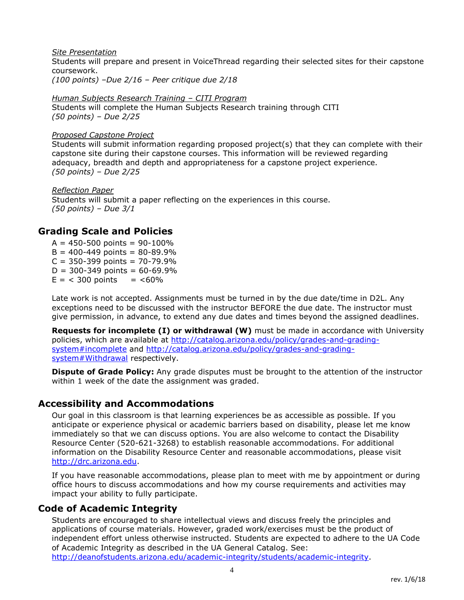*Site Presentation* Students will prepare and present in VoiceThread regarding their selected sites for their capstone coursework. *(100 points) –Due 2/16 – Peer critique due 2/18*

*Human Subjects Research Training – CITI Program* Students will complete the Human Subjects Research training through CITI *(50 points) – Due 2/25*

#### *Proposed Capstone Project*

Students will submit information regarding proposed project(s) that they can complete with their capstone site during their capstone courses. This information will be reviewed regarding adequacy, breadth and depth and appropriateness for a capstone project experience. *(50 points) – Due 2/25*

*Reflection Paper* Students will submit a paper reflecting on the experiences in this course. *(50 points) – Due 3/1*

## **Grading Scale and Policies**

 $A = 450 - 500$  points = 90-100%  $B = 400 - 449$  points = 80-89.9%  $C = 350 - 399$  points = 70-79.9%  $D = 300 - 349$  points = 60-69.9%  $E = 300$  points =  $< 60\%$ 

Late work is not accepted. Assignments must be turned in by the due date/time in D2L. Any exceptions need to be discussed with the instructor BEFORE the due date. The instructor must give permission, in advance, to extend any due dates and times beyond the assigned deadlines.

**Requests for incomplete (I) or withdrawal (W)** must be made in accordance with University policies, which are available at [http://catalog.arizona.edu/policy/grades-and-grading](http://catalog.arizona.edu/policy/grades-and-grading-system#incomplete)[system#incomplete](http://catalog.arizona.edu/policy/grades-and-grading-system#incomplete) and [http://catalog.arizona.edu/policy/grades-and-grading](http://catalog.arizona.edu/policy/grades-and-grading-system#Withdrawal)[system#Withdrawal](http://catalog.arizona.edu/policy/grades-and-grading-system#Withdrawal) respectively.

**Dispute of Grade Policy:** Any grade disputes must be brought to the attention of the instructor within 1 week of the date the assignment was graded.

# **Accessibility and Accommodations**

Our goal in this classroom is that learning experiences be as accessible as possible. If you anticipate or experience physical or academic barriers based on disability, please let me know immediately so that we can discuss options. You are also welcome to contact the Disability Resource Center (520-621-3268) to establish reasonable accommodations. For additional information on the Disability Resource Center and reasonable accommodations, please visit [http://drc.arizona.edu.](http://drc.arizona.edu/)

If you have reasonable accommodations, please plan to meet with me by appointment or during office hours to discuss accommodations and how my course requirements and activities may impact your ability to fully participate.

#### **Code of Academic Integrity**

Students are encouraged to share intellectual views and discuss freely the principles and applications of course materials. However, graded work/exercises must be the product of independent effort unless otherwise instructed. Students are expected to adhere to the UA Code of Academic Integrity as described in the UA General Catalog. See:

[http://deanofstudents.arizona.edu/academic-integrity/students/academic-integrity.](http://deanofstudents.arizona.edu/academic-integrity/students/academic-integrity)